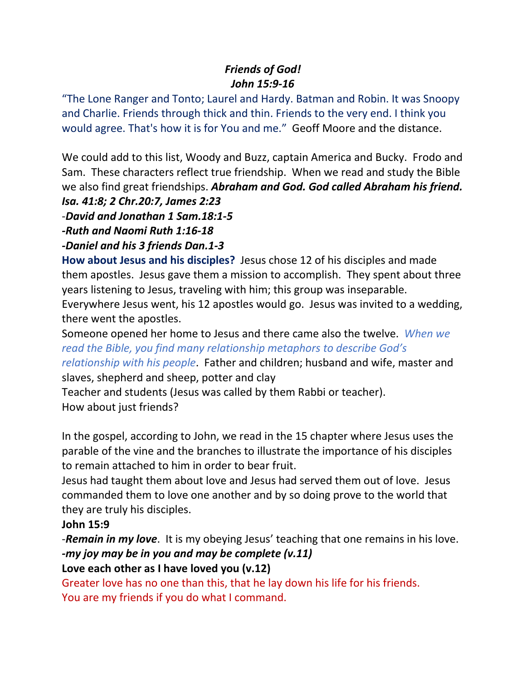## *Friends of God! John 15:9-16*

"The Lone Ranger and Tonto; Laurel and Hardy. Batman and Robin. It was Snoopy and Charlie. Friends through thick and thin. Friends to the very end. I think you would agree. That's how it is for You and me." Geoff Moore and the distance.

We could add to this list, Woody and Buzz, captain America and Bucky. Frodo and Sam. These characters reflect true friendship. When we read and study the Bible we also find great friendships. *Abraham and God. God called Abraham his friend. Isa. 41:8; 2 Chr.20:7, James 2:23*

-*David and Jonathan 1 Sam.18:1-5*

*-Ruth and Naomi Ruth 1:16-18*

*-Daniel and his 3 friends Dan.1-3*

**How about Jesus and his disciples?** Jesus chose 12 of his disciples and made them apostles. Jesus gave them a mission to accomplish. They spent about three years listening to Jesus, traveling with him; this group was inseparable.

Everywhere Jesus went, his 12 apostles would go. Jesus was invited to a wedding, there went the apostles.

Someone opened her home to Jesus and there came also the twelve. *When we read the Bible, you find many relationship metaphors to describe God's* 

*relationship with his people*. Father and children; husband and wife, master and slaves, shepherd and sheep, potter and clay

Teacher and students (Jesus was called by them Rabbi or teacher). How about just friends?

In the gospel, according to John, we read in the 15 chapter where Jesus uses the parable of the vine and the branches to illustrate the importance of his disciples to remain attached to him in order to bear fruit.

Jesus had taught them about love and Jesus had served them out of love. Jesus commanded them to love one another and by so doing prove to the world that they are truly his disciples.

## **John 15:9**

-*Remain in my love*. It is my obeying Jesus' teaching that one remains in his love. *-my joy may be in you and may be complete (v.11)* **Love each other as I have loved you (v.12)**

Greater love has no one than this, that he lay down his life for his friends. You are my friends if you do what I command.